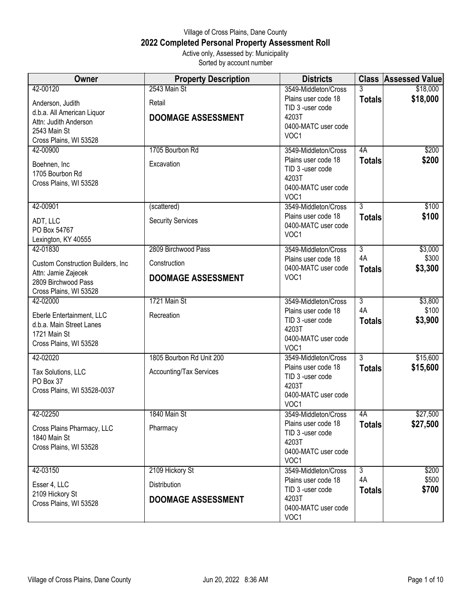## Village of Cross Plains, Dane County **2022 Completed Personal Property Assessment Roll** Active only, Assessed by: Municipality

Sorted by account number

| <b>Owner</b>                                                                                                                  | <b>Property Description</b>                                      | <b>Districts</b>                                                                                        |                                       | <b>Class Assessed Value</b> |
|-------------------------------------------------------------------------------------------------------------------------------|------------------------------------------------------------------|---------------------------------------------------------------------------------------------------------|---------------------------------------|-----------------------------|
| 42-00120<br>Anderson, Judith<br>d.b.a. All American Liquor<br>Attn: Judith Anderson<br>2543 Main St<br>Cross Plains, WI 53528 | 2543 Main St<br>Retail<br><b>DOOMAGE ASSESSMENT</b>              | 3549-Middleton/Cross<br>Plains user code 18<br>TID 3 -user code<br>4203T<br>0400-MATC user code<br>VOC1 | 3<br><b>Totals</b>                    | \$18,000<br>\$18,000        |
| 42-00900<br>Boehnen, Inc<br>1705 Bourbon Rd<br>Cross Plains, WI 53528                                                         | 1705 Bourbon Rd<br>Excavation                                    | 3549-Middleton/Cross<br>Plains user code 18<br>TID 3 -user code<br>4203T<br>0400-MATC user code<br>VOC1 | 4A<br><b>Totals</b>                   | \$200<br>\$200              |
| 42-00901<br>ADT, LLC<br>PO Box 54767<br>Lexington, KY 40555                                                                   | (scattered)<br><b>Security Services</b>                          | 3549-Middleton/Cross<br>Plains user code 18<br>0400-MATC user code<br>VOC1                              | $\overline{3}$<br><b>Totals</b>       | \$100<br>\$100              |
| 42-01830<br>Custom Construction Builders, Inc<br>Attn: Jamie Zajecek<br>2809 Birchwood Pass<br>Cross Plains, WI 53528         | 2809 Birchwood Pass<br>Construction<br><b>DOOMAGE ASSESSMENT</b> | 3549-Middleton/Cross<br>Plains user code 18<br>0400-MATC user code<br>VOC1                              | $\overline{3}$<br>4A<br><b>Totals</b> | \$3,000<br>\$300<br>\$3,300 |
| 42-02000<br>Eberle Entertainment, LLC<br>d.b.a. Main Street Lanes<br>1721 Main St<br>Cross Plains, WI 53528                   | 1721 Main St<br>Recreation                                       | 3549-Middleton/Cross<br>Plains user code 18<br>TID 3 -user code<br>4203T<br>0400-MATC user code<br>VOC1 | $\overline{3}$<br>4A<br><b>Totals</b> | \$3,800<br>\$100<br>\$3,900 |
| 42-02020<br>Tax Solutions, LLC<br>PO Box 37<br>Cross Plains, WI 53528-0037                                                    | 1805 Bourbon Rd Unit 200<br>Accounting/Tax Services              | 3549-Middleton/Cross<br>Plains user code 18<br>TID 3 -user code<br>4203T<br>0400-MATC user code<br>VOC1 | $\overline{3}$<br><b>Totals</b>       | \$15,600<br>\$15,600        |
| 42-02250<br>Cross Plains Pharmacy, LLC<br>1840 Main St<br>Cross Plains, WI 53528                                              | 1840 Main St<br>Pharmacy                                         | 3549-Middleton/Cross<br>Plains user code 18<br>TID 3 -user code<br>4203T<br>0400-MATC user code<br>VOC1 | 4A<br><b>Totals</b>                   | \$27,500<br>\$27,500        |
| 42-03150<br>Esser 4, LLC<br>2109 Hickory St<br>Cross Plains, WI 53528                                                         | 2109 Hickory St<br>Distribution<br><b>DOOMAGE ASSESSMENT</b>     | 3549-Middleton/Cross<br>Plains user code 18<br>TID 3 -user code<br>4203T<br>0400-MATC user code<br>VOC1 | $\overline{3}$<br>4A<br><b>Totals</b> | \$200<br>\$500<br>\$700     |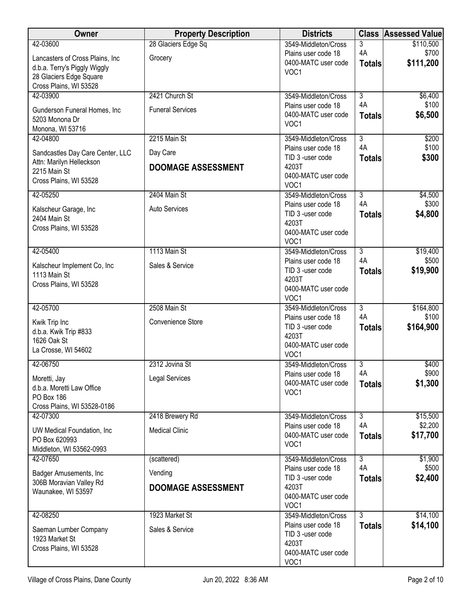| Owner                                          | <b>Property Description</b> | <b>Districts</b>                            |                      | <b>Class Assessed Value</b> |
|------------------------------------------------|-----------------------------|---------------------------------------------|----------------------|-----------------------------|
| 42-03600                                       | 28 Glaciers Edge Sq         | 3549-Middleton/Cross                        | 3                    | \$110,500                   |
| Lancasters of Cross Plains, Inc                | Grocery                     | Plains user code 18<br>0400-MATC user code  | 4A                   | \$700                       |
| d.b.a. Terry's Piggly Wiggly                   |                             | VOC1                                        | <b>Totals</b>        | \$111,200                   |
| 28 Glaciers Edge Square                        |                             |                                             |                      |                             |
| Cross Plains, WI 53528<br>42-03900             | 2421 Church St              | 3549-Middleton/Cross                        | $\overline{3}$       | \$6,400                     |
|                                                |                             | Plains user code 18                         | 4A                   | \$100                       |
| Gunderson Funeral Homes, Inc<br>5203 Monona Dr | <b>Funeral Services</b>     | 0400-MATC user code                         | <b>Totals</b>        | \$6,500                     |
| Monona, WI 53716                               |                             | VOC1                                        |                      |                             |
| 42-04800                                       | 2215 Main St                | 3549-Middleton/Cross                        | $\overline{3}$       | \$200                       |
| Sandcastles Day Care Center, LLC               | Day Care                    | Plains user code 18                         | 4A                   | \$100                       |
| Attn: Marilyn Helleckson                       | <b>DOOMAGE ASSESSMENT</b>   | TID 3 -user code<br>4203T                   | <b>Totals</b>        | \$300                       |
| 2215 Main St                                   |                             | 0400-MATC user code                         |                      |                             |
| Cross Plains, WI 53528                         |                             | VOC1                                        |                      |                             |
| 42-05250                                       | 2404 Main St                | 3549-Middleton/Cross                        | $\overline{3}$       | \$4,500                     |
| Kalscheur Garage, Inc                          | <b>Auto Services</b>        | Plains user code 18<br>TID 3 -user code     | 4A<br><b>Totals</b>  | \$300<br>\$4,800            |
| 2404 Main St                                   |                             | 4203T                                       |                      |                             |
| Cross Plains, WI 53528                         |                             | 0400-MATC user code                         |                      |                             |
|                                                |                             | VOC1                                        |                      |                             |
| 42-05400                                       | 1113 Main St                | 3549-Middleton/Cross<br>Plains user code 18 | $\overline{3}$<br>4A | \$19,400<br>\$500           |
| Kalscheur Implement Co, Inc                    | Sales & Service             | TID 3 -user code                            | <b>Totals</b>        | \$19,900                    |
| 1113 Main St<br>Cross Plains, WI 53528         |                             | 4203T                                       |                      |                             |
|                                                |                             | 0400-MATC user code                         |                      |                             |
| 42-05700                                       | 2508 Main St                | VOC1<br>3549-Middleton/Cross                | $\overline{3}$       | \$164,800                   |
|                                                |                             | Plains user code 18                         | 4A                   | \$100                       |
| Kwik Trip Inc<br>d.b.a. Kwik Trip #833         | Convenience Store           | TID 3 -user code                            | <b>Totals</b>        | \$164,900                   |
| 1626 Oak St                                    |                             | 4203T                                       |                      |                             |
| La Crosse, WI 54602                            |                             | 0400-MATC user code<br>VOC1                 |                      |                             |
| 42-06750                                       | 2312 Jovina St              | 3549-Middleton/Cross                        | $\overline{3}$       | \$400                       |
| Moretti, Jay                                   | Legal Services              | Plains user code 18                         | 4A                   | \$900                       |
| d.b.a. Moretti Law Office                      |                             | 0400-MATC user code                         | <b>Totals</b>        | \$1,300                     |
| PO Box 186                                     |                             | VOC1                                        |                      |                             |
| Cross Plains, WI 53528-0186                    |                             |                                             |                      |                             |
| 42-07300                                       | 2418 Brewery Rd             | 3549-Middleton/Cross<br>Plains user code 18 | $\overline{3}$<br>4A | \$15,500<br>\$2,200         |
| UW Medical Foundation, Inc.                    | <b>Medical Clinic</b>       | 0400-MATC user code                         | <b>Totals</b>        | \$17,700                    |
| PO Box 620993<br>Middleton, WI 53562-0993      |                             | VOC1                                        |                      |                             |
| 42-07650                                       | (scattered)                 | 3549-Middleton/Cross                        | $\overline{3}$       | \$1,900                     |
| Badger Amusements, Inc                         | Vending                     | Plains user code 18                         | 4A                   | \$500                       |
| 306B Moravian Valley Rd                        |                             | TID 3 -user code                            | <b>Totals</b>        | \$2,400                     |
| Waunakee, WI 53597                             | <b>DOOMAGE ASSESSMENT</b>   | 4203T<br>0400-MATC user code                |                      |                             |
|                                                |                             | VOC1                                        |                      |                             |
| 42-08250                                       | 1923 Market St              | 3549-Middleton/Cross                        | $\overline{3}$       | \$14,100                    |
| Saeman Lumber Company                          | Sales & Service             | Plains user code 18                         | <b>Totals</b>        | \$14,100                    |
| 1923 Market St                                 |                             | TID 3 -user code<br>4203T                   |                      |                             |
| Cross Plains, WI 53528                         |                             | 0400-MATC user code                         |                      |                             |
|                                                |                             | VOC1                                        |                      |                             |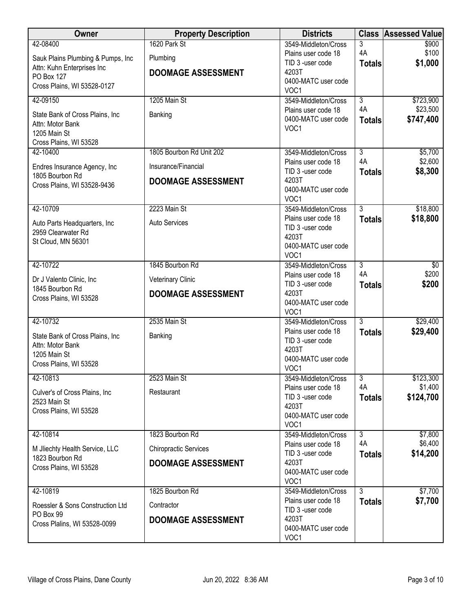| Owner                                                | <b>Property Description</b>  | <b>Districts</b>                           |                | <b>Class Assessed Value</b> |
|------------------------------------------------------|------------------------------|--------------------------------------------|----------------|-----------------------------|
| 42-08400                                             | 1620 Park St                 | 3549-Middleton/Cross                       | 3              | \$900                       |
| Sauk Plains Plumbing & Pumps, Inc                    | Plumbing                     | Plains user code 18<br>TID 3 -user code    | 4A             | \$100                       |
| Attn: Kuhn Enterprises Inc                           | <b>DOOMAGE ASSESSMENT</b>    | 4203T                                      | <b>Totals</b>  | \$1,000                     |
| <b>PO Box 127</b>                                    |                              | 0400-MATC user code                        |                |                             |
| Cross Plains, WI 53528-0127                          |                              | VOC1                                       |                |                             |
| 42-09150                                             | 1205 Main St                 | 3549-Middleton/Cross                       | $\overline{3}$ | \$723,900                   |
| State Bank of Cross Plains, Inc.                     | Banking                      | Plains user code 18<br>0400-MATC user code | 4A             | \$23,500                    |
| Attn: Motor Bank                                     |                              | VOC1                                       | <b>Totals</b>  | \$747,400                   |
| 1205 Main St                                         |                              |                                            |                |                             |
| Cross Plains, WI 53528<br>42-10400                   | 1805 Bourbon Rd Unit 202     | 3549-Middleton/Cross                       | $\overline{3}$ | \$5,700                     |
|                                                      |                              | Plains user code 18                        | 4A             | \$2,600                     |
| Endres Insurance Agency, Inc                         | Insurance/Financial          | TID 3 -user code                           | <b>Totals</b>  | \$8,300                     |
| 1805 Bourbon Rd<br>Cross Plains, WI 53528-9436       | <b>DOOMAGE ASSESSMENT</b>    | 4203T                                      |                |                             |
|                                                      |                              | 0400-MATC user code                        |                |                             |
| 42-10709                                             | 2223 Main St                 | VOC1<br>3549-Middleton/Cross               | $\overline{3}$ | \$18,800                    |
|                                                      |                              | Plains user code 18                        | <b>Totals</b>  | \$18,800                    |
| Auto Parts Headquarters, Inc.                        | <b>Auto Services</b>         | TID 3 -user code                           |                |                             |
| 2959 Clearwater Rd<br>St Cloud, MN 56301             |                              | 4203T                                      |                |                             |
|                                                      |                              | 0400-MATC user code                        |                |                             |
| 42-10722                                             | 1845 Bourbon Rd              | VOC <sub>1</sub><br>3549-Middleton/Cross   | $\overline{3}$ | \$0                         |
|                                                      |                              | Plains user code 18                        | 4A             | \$200                       |
| Dr J Valento Clinic, Inc.                            | <b>Veterinary Clinic</b>     | TID 3 -user code                           | <b>Totals</b>  | \$200                       |
| 1845 Bourbon Rd<br>Cross Plains, WI 53528            | <b>DOOMAGE ASSESSMENT</b>    | 4203T                                      |                |                             |
|                                                      |                              | 0400-MATC user code                        |                |                             |
| 42-10732                                             | 2535 Main St                 | VOC1<br>3549-Middleton/Cross               | 3              | \$29,400                    |
|                                                      |                              | Plains user code 18                        | <b>Totals</b>  | \$29,400                    |
| State Bank of Cross Plains, Inc.<br>Attn: Motor Bank | Banking                      | TID 3 -user code                           |                |                             |
| 1205 Main St                                         |                              | 4203T                                      |                |                             |
| Cross Plains, WI 53528                               |                              | 0400-MATC user code<br>VOC1                |                |                             |
| 42-10813                                             | 2523 Main St                 | 3549-Middleton/Cross                       | $\overline{3}$ | \$123,300                   |
|                                                      |                              | Plains user code 18                        | 4A             | \$1,400                     |
| Culver's of Cross Plains, Inc.<br>2523 Main St       | Restaurant                   | TID 3 -user code                           | <b>Totals</b>  | \$124,700                   |
| Cross Plains, WI 53528                               |                              | 4203T                                      |                |                             |
|                                                      |                              | 0400-MATC user code<br>VOC1                |                |                             |
| 42-10814                                             | 1823 Bourbon Rd              | 3549-Middleton/Cross                       | $\overline{3}$ | \$7,800                     |
|                                                      |                              | Plains user code 18                        | 4A             | \$6,400                     |
| M Jliechty Health Service, LLC<br>1823 Bourbon Rd    | <b>Chiropractic Services</b> | TID 3 -user code                           | <b>Totals</b>  | \$14,200                    |
| Cross Plains, WI 53528                               | <b>DOOMAGE ASSESSMENT</b>    | 4203T                                      |                |                             |
|                                                      |                              | 0400-MATC user code<br>VOC1                |                |                             |
| 42-10819                                             | 1825 Bourbon Rd              | 3549-Middleton/Cross                       | $\overline{3}$ | \$7,700                     |
|                                                      |                              | Plains user code 18                        | <b>Totals</b>  | \$7,700                     |
| Roessler & Sons Construction Ltd<br>PO Box 99        | Contractor                   | TID 3 -user code                           |                |                             |
| Cross Plalins, WI 53528-0099                         | <b>DOOMAGE ASSESSMENT</b>    | 4203T<br>0400-MATC user code               |                |                             |
|                                                      |                              |                                            |                |                             |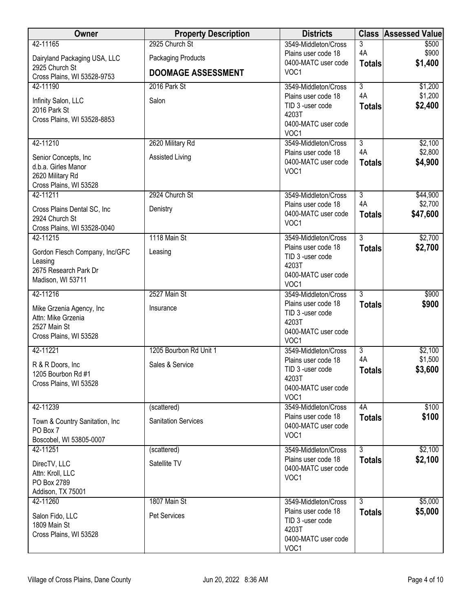| Owner                                       | <b>Property Description</b> | <b>Districts</b>                            |                      | <b>Class Assessed Value</b> |
|---------------------------------------------|-----------------------------|---------------------------------------------|----------------------|-----------------------------|
| 42-11165                                    | 2925 Church St              | 3549-Middleton/Cross                        | 3                    | \$500                       |
| Dairyland Packaging USA, LLC                | Packaging Products          | Plains user code 18<br>0400-MATC user code  | 4A                   | \$900<br>\$1,400            |
| 2925 Church St                              | <b>DOOMAGE ASSESSMENT</b>   | VOC1                                        | <b>Totals</b>        |                             |
| Cross Plains, WI 53528-9753                 |                             |                                             | $\overline{3}$       |                             |
| 42-11190                                    | 2016 Park St                | 3549-Middleton/Cross<br>Plains user code 18 | 4A                   | \$1,200<br>\$1,200          |
| Infinity Salon, LLC                         | Salon                       | TID 3 -user code                            | <b>Totals</b>        | \$2,400                     |
| 2016 Park St<br>Cross Plains, WI 53528-8853 |                             | 4203T                                       |                      |                             |
|                                             |                             | 0400-MATC user code                         |                      |                             |
|                                             |                             | VOC1                                        |                      |                             |
| 42-11210                                    | 2620 Military Rd            | 3549-Middleton/Cross<br>Plains user code 18 | $\overline{3}$<br>4A | \$2,100<br>\$2,800          |
| Senior Concepts, Inc                        | Assisted Living             | 0400-MATC user code                         | <b>Totals</b>        | \$4,900                     |
| d.b.a. Girles Manor                         |                             | VOC1                                        |                      |                             |
| 2620 Military Rd<br>Cross Plains, WI 53528  |                             |                                             |                      |                             |
| 42-11211                                    | 2924 Church St              | 3549-Middleton/Cross                        | $\overline{3}$       | \$44,900                    |
| Cross Plains Dental SC, Inc                 | Denistry                    | Plains user code 18                         | 4A                   | \$2,700                     |
| 2924 Church St                              |                             | 0400-MATC user code                         | <b>Totals</b>        | \$47,600                    |
| Cross Plains, WI 53528-0040                 |                             | VOC1                                        |                      |                             |
| 42-11215                                    | 1118 Main St                | 3549-Middleton/Cross                        | $\overline{3}$       | \$2,700                     |
| Gordon Flesch Company, Inc/GFC              | Leasing                     | Plains user code 18                         | <b>Totals</b>        | \$2,700                     |
| Leasing                                     |                             | TID 3 -user code<br>4203T                   |                      |                             |
| 2675 Research Park Dr                       |                             | 0400-MATC user code                         |                      |                             |
| Madison, WI 53711                           |                             | VOC1                                        |                      |                             |
| 42-11216                                    | 2527 Main St                | 3549-Middleton/Cross                        | $\overline{3}$       | \$900                       |
| Mike Grzenia Agency, Inc                    | Insurance                   | Plains user code 18                         | <b>Totals</b>        | \$900                       |
| Attn: Mike Grzenia                          |                             | TID 3 -user code<br>4203T                   |                      |                             |
| 2527 Main St                                |                             | 0400-MATC user code                         |                      |                             |
| Cross Plains, WI 53528                      |                             | VOC1                                        |                      |                             |
| 42-11221                                    | 1205 Bourbon Rd Unit 1      | 3549-Middleton/Cross                        | $\overline{3}$       | \$2,100                     |
| R & R Doors, Inc.                           | Sales & Service             | Plains user code 18                         | 4A                   | \$1,500                     |
| 1205 Bourbon Rd #1                          |                             | TID 3 -user code<br>4203T                   | <b>Totals</b>        | \$3,600                     |
| Cross Plains, WI 53528                      |                             | 0400-MATC user code                         |                      |                             |
|                                             |                             | VOC1                                        |                      |                             |
| 42-11239                                    | (scattered)                 | 3549-Middleton/Cross                        | 4A                   | \$100                       |
| Town & Country Sanitation, Inc              | <b>Sanitation Services</b>  | Plains user code 18<br>0400-MATC user code  | <b>Totals</b>        | \$100                       |
| PO Box 7                                    |                             | VOC1                                        |                      |                             |
| Boscobel, WI 53805-0007                     |                             |                                             |                      |                             |
| 42-11251                                    | (scattered)                 | 3549-Middleton/Cross<br>Plains user code 18 | $\overline{3}$       | \$2,100<br>\$2,100          |
| DirecTV, LLC                                | Satellite TV                | 0400-MATC user code                         | <b>Totals</b>        |                             |
| Attn: Kroll, LLC<br>PO Box 2789             |                             | VOC1                                        |                      |                             |
| Addison, TX 75001                           |                             |                                             |                      |                             |
| 42-11260                                    | 1807 Main St                | 3549-Middleton/Cross                        | 3                    | \$5,000                     |
| Salon Fido, LLC                             | <b>Pet Services</b>         | Plains user code 18                         | <b>Totals</b>        | \$5,000                     |
| 1809 Main St                                |                             | TID 3 -user code                            |                      |                             |
| Cross Plains, WI 53528                      |                             | 4203T<br>0400-MATC user code                |                      |                             |
|                                             |                             | VOC1                                        |                      |                             |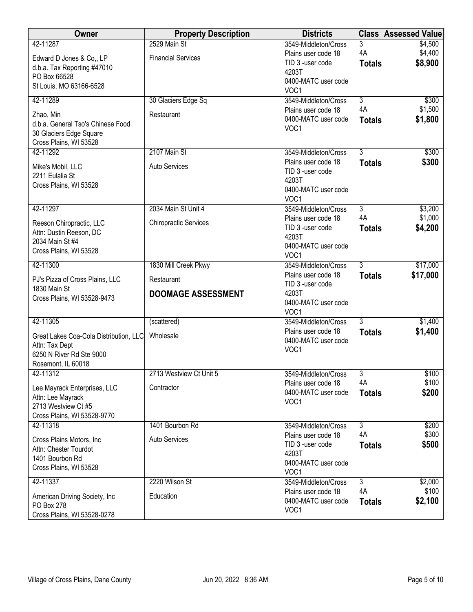| Owner                                                                                                      | <b>Property Description</b>             | <b>Districts</b>                                                                            |                         | <b>Class Assessed Value</b> |
|------------------------------------------------------------------------------------------------------------|-----------------------------------------|---------------------------------------------------------------------------------------------|-------------------------|-----------------------------|
| 42-11287                                                                                                   | 2529 Main St                            | 3549-Middleton/Cross                                                                        | 3                       | \$4,500                     |
| Edward D Jones & Co., LP<br>d.b.a. Tax Reporting #47010<br>PO Box 66528<br>St Louis, MO 63166-6528         | <b>Financial Services</b>               | Plains user code 18<br>TID 3 -user code<br>4203T<br>0400-MATC user code<br>VOC1             | 4A<br><b>Totals</b>     | \$4,400<br>\$8,900          |
| 42-11289                                                                                                   | 30 Glaciers Edge Sq                     | 3549-Middleton/Cross                                                                        | $\overline{3}$          | \$300                       |
| Zhao, Min<br>d.b.a. General Tso's Chinese Food<br>30 Glaciers Edge Square<br>Cross Plains, WI 53528        | Restaurant                              | Plains user code 18<br>0400-MATC user code<br>VOC1                                          | 4A<br><b>Totals</b>     | \$1,500<br>\$1,800          |
| 42-11292                                                                                                   | 2107 Main St                            | 3549-Middleton/Cross                                                                        | $\overline{3}$          | \$300                       |
| Mike's Mobil, LLC<br>2211 Eulalia St<br>Cross Plains, WI 53528                                             | <b>Auto Services</b>                    | Plains user code 18<br>TID 3 -user code<br>4203T<br>0400-MATC user code<br>VOC1             | <b>Totals</b>           | \$300                       |
| 42-11297                                                                                                   | 2034 Main St Unit 4                     | 3549-Middleton/Cross                                                                        | $\overline{3}$          | \$3,200                     |
| Reeson Chiropractic, LLC<br>Attn: Dustin Reeson, DC<br>2034 Main St #4<br>Cross Plains, WI 53528           | <b>Chiropractic Services</b>            | Plains user code 18<br>TID 3 -user code<br>4203T<br>0400-MATC user code<br>VOC <sub>1</sub> | 4A<br><b>Totals</b>     | \$1,000<br>\$4,200          |
| 42-11300                                                                                                   | 1830 Mill Creek Pkwy                    | 3549-Middleton/Cross                                                                        | $\overline{3}$          | \$17,000                    |
| PJ's Pizza of Cross Plains, LLC<br>1830 Main St                                                            | Restaurant<br><b>DOOMAGE ASSESSMENT</b> | Plains user code 18<br>TID 3 -user code<br>4203T                                            | <b>Totals</b>           | \$17,000                    |
| Cross Plains, WI 53528-9473                                                                                |                                         | 0400-MATC user code<br>VOC1                                                                 |                         |                             |
| 42-11305                                                                                                   | (scattered)                             | 3549-Middleton/Cross                                                                        | $\overline{3}$          | \$1,400                     |
| Great Lakes Coa-Cola Distribution, LLC<br>Attn: Tax Dept<br>6250 N River Rd Ste 9000<br>Rosemont, IL 60018 | Wholesale                               | Plains user code 18<br>0400-MATC user code<br>VOC1                                          | <b>Totals</b>           | \$1,400                     |
| 42-11312                                                                                                   | 2713 Westview Ct Unit 5                 | 3549-Middleton/Cross                                                                        | $\overline{\mathbf{3}}$ | \$100                       |
| Lee Mayrack Enterprises, LLC<br>Attn: Lee Mayrack<br>2713 Westview Ct #5                                   | Contractor                              | Plains user code 18<br>0400-MATC user code<br>VOC1                                          | 4A<br><b>Totals</b>     | \$100<br>\$200              |
| Cross Plains, WI 53528-9770                                                                                |                                         |                                                                                             |                         |                             |
| 42-11318                                                                                                   | 1401 Bourbon Rd                         | 3549-Middleton/Cross                                                                        | $\overline{3}$<br>4A    | \$200                       |
| Cross Plains Motors, Inc.<br>Attn: Chester Tourdot<br>1401 Bourbon Rd<br>Cross Plains, WI 53528            | <b>Auto Services</b>                    | Plains user code 18<br>TID 3 -user code<br>4203T<br>0400-MATC user code<br>VOC1             | <b>Totals</b>           | \$300<br>\$500              |
| 42-11337                                                                                                   | 2220 Wilson St                          | 3549-Middleton/Cross                                                                        | 3                       | \$2,000                     |
| American Driving Society, Inc.<br>PO Box 278<br>Cross Plains, WI 53528-0278                                | Education                               | Plains user code 18<br>0400-MATC user code<br>VOC1                                          | 4A<br><b>Totals</b>     | \$100<br>\$2,100            |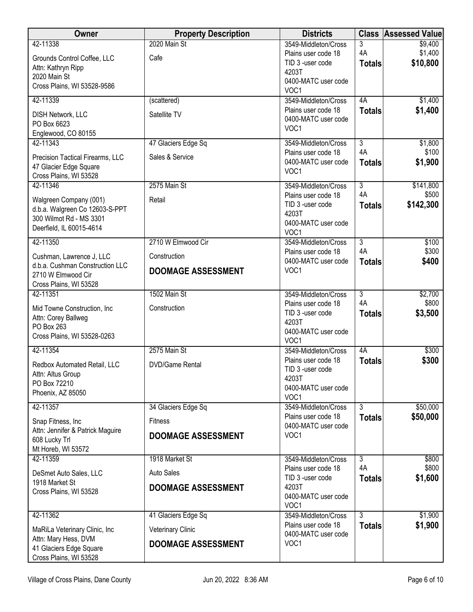| <b>Owner</b>                                              | <b>Property Description</b> | <b>Districts</b>                            | <b>Class</b>              | <b>Assessed Value</b> |
|-----------------------------------------------------------|-----------------------------|---------------------------------------------|---------------------------|-----------------------|
| 42-11338                                                  | 2020 Main St                | 3549-Middleton/Cross                        | 3                         | \$9,400               |
| Grounds Control Coffee, LLC                               | Cafe                        | Plains user code 18                         | 4A                        | \$1,400               |
| Attn: Kathryn Ripp                                        |                             | TID 3 -user code<br>4203T                   | <b>Totals</b>             | \$10,800              |
| 2020 Main St                                              |                             | 0400-MATC user code                         |                           |                       |
| Cross Plains, WI 53528-9586                               |                             | VOC1                                        |                           |                       |
| 42-11339                                                  | (scattered)                 | 3549-Middleton/Cross                        | 4A                        | \$1,400               |
| DISH Network, LLC                                         | Satellite TV                | Plains user code 18                         | <b>Totals</b>             | \$1,400               |
| PO Box 6623                                               |                             | 0400-MATC user code<br>VOC1                 |                           |                       |
| Englewood, CO 80155                                       |                             |                                             |                           |                       |
| 42-11343                                                  | 47 Glaciers Edge Sq         | 3549-Middleton/Cross                        | $\overline{3}$            | \$1,800               |
| Precision Tactical Firearms, LLC                          | Sales & Service             | Plains user code 18<br>0400-MATC user code  | 4A<br><b>Totals</b>       | \$100<br>\$1,900      |
| 47 Glacier Edge Square                                    |                             | VOC1                                        |                           |                       |
| Cross Plains, WI 53528                                    |                             |                                             |                           |                       |
| 42-11346                                                  | 2575 Main St                | 3549-Middleton/Cross<br>Plains user code 18 | $\overline{3}$<br>4A      | \$141,800<br>\$500    |
| Walgreen Company (001)                                    | Retail                      | TID 3 -user code                            | <b>Totals</b>             | \$142,300             |
| d.b.a. Walgreen Co 12603-S-PPT<br>300 Wilmot Rd - MS 3301 |                             | 4203T                                       |                           |                       |
| Deerfield, IL 60015-4614                                  |                             | 0400-MATC user code                         |                           |                       |
|                                                           |                             | VOC1                                        |                           |                       |
| 42-11350                                                  | 2710 W Elmwood Cir          | 3549-Middleton/Cross<br>Plains user code 18 | $\overline{3}$<br>4A      | \$100<br>\$300        |
| Cushman, Lawrence J, LLC                                  | Construction                | 0400-MATC user code                         | <b>Totals</b>             | \$400                 |
| d.b.a. Cushman Construction LLC                           | <b>DOOMAGE ASSESSMENT</b>   | VOC1                                        |                           |                       |
| 2710 W Elmwood Cir<br>Cross Plains, WI 53528              |                             |                                             |                           |                       |
| 42-11351                                                  | 1502 Main St                | 3549-Middleton/Cross                        | $\overline{\overline{3}}$ | \$2,700               |
|                                                           |                             | Plains user code 18                         | 4A                        | \$800                 |
| Mid Towne Construction, Inc<br>Attn: Corey Ballweg        | Construction                | TID 3 -user code                            | <b>Totals</b>             | \$3,500               |
| PO Box 263                                                |                             | 4203T                                       |                           |                       |
| Cross Plains, WI 53528-0263                               |                             | 0400-MATC user code<br>VOC1                 |                           |                       |
| 42-11354                                                  | 2575 Main St                | 3549-Middleton/Cross                        | 4A                        | \$300                 |
| Redbox Automated Retail, LLC                              | <b>DVD/Game Rental</b>      | Plains user code 18                         | <b>Totals</b>             | \$300                 |
| Attn: Altus Group                                         |                             | TID 3 -user code                            |                           |                       |
| PO Box 72210                                              |                             | 4203T                                       |                           |                       |
| Phoenix, AZ 85050                                         |                             | 0400-MATC user code<br>VOC1                 |                           |                       |
| 42-11357                                                  | 34 Glaciers Edge Sq         | 3549-Middleton/Cross                        | $\overline{3}$            | \$50,000              |
| Snap Fitness, Inc                                         | <b>Fitness</b>              | Plains user code 18                         | <b>Totals</b>             | \$50,000              |
| Attn: Jennifer & Patrick Maguire                          |                             | 0400-MATC user code<br>VOC1                 |                           |                       |
| 608 Lucky Trl                                             | <b>DOOMAGE ASSESSMENT</b>   |                                             |                           |                       |
| Mt Horeb, WI 53572                                        |                             |                                             |                           |                       |
| 42-11359                                                  | 1918 Market St              | 3549-Middleton/Cross<br>Plains user code 18 | $\overline{3}$<br>4A      | \$800<br>\$800        |
| DeSmet Auto Sales, LLC                                    | <b>Auto Sales</b>           | TID 3 -user code                            | <b>Totals</b>             | \$1,600               |
| 1918 Market St                                            | <b>DOOMAGE ASSESSMENT</b>   | 4203T                                       |                           |                       |
| Cross Plains, WI 53528                                    |                             | 0400-MATC user code                         |                           |                       |
|                                                           |                             | VOC1                                        |                           |                       |
| 42-11362                                                  | 41 Glaciers Edge Sq         | 3549-Middleton/Cross<br>Plains user code 18 | $\overline{3}$            | \$1,900               |
| MaRiLa Veterinary Clinic, Inc.                            | Veterinary Clinic           | 0400-MATC user code                         | <b>Totals</b>             | \$1,900               |
| Attn: Mary Hess, DVM                                      | <b>DOOMAGE ASSESSMENT</b>   | VOC1                                        |                           |                       |
| 41 Glaciers Edge Square<br>Cross Plains, WI 53528         |                             |                                             |                           |                       |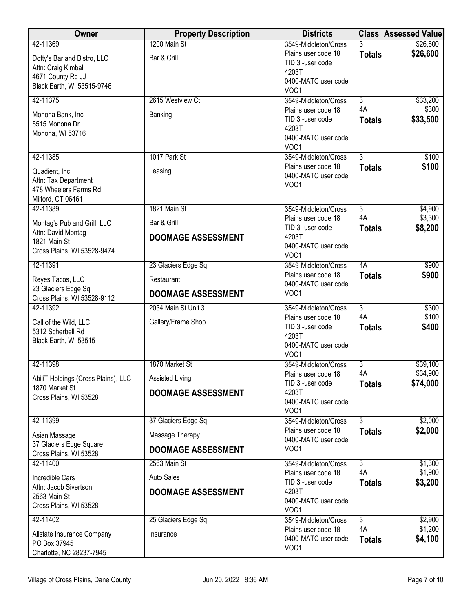| Owner                                  | <b>Property Description</b> | <b>Districts</b>                           |                     | <b>Class Assessed Value</b> |
|----------------------------------------|-----------------------------|--------------------------------------------|---------------------|-----------------------------|
| 42-11369                               | 1200 Main St                | 3549-Middleton/Cross                       | 3                   | \$26,600                    |
| Dotty's Bar and Bistro, LLC            | Bar & Grill                 | Plains user code 18                        | <b>Totals</b>       | \$26,600                    |
| Attn: Craig Kimball                    |                             | TID 3 -user code<br>4203T                  |                     |                             |
| 4671 County Rd JJ                      |                             | 0400-MATC user code                        |                     |                             |
| Black Earth, WI 53515-9746             |                             | VOC1                                       |                     |                             |
| 42-11375                               | 2615 Westview Ct            | 3549-Middleton/Cross                       | $\overline{3}$      | \$33,200                    |
| Monona Bank, Inc                       | Banking                     | Plains user code 18                        | 4A                  | \$300                       |
| 5515 Monona Dr                         |                             | TID 3 -user code                           | <b>Totals</b>       | \$33,500                    |
| Monona, WI 53716                       |                             | 4203T<br>0400-MATC user code               |                     |                             |
|                                        |                             | VOC1                                       |                     |                             |
| 42-11385                               | 1017 Park St                | 3549-Middleton/Cross                       | $\overline{3}$      | \$100                       |
| Quadient, Inc.                         | Leasing                     | Plains user code 18                        | <b>Totals</b>       | \$100                       |
| Attn: Tax Department                   |                             | 0400-MATC user code                        |                     |                             |
| 478 Wheelers Farms Rd                  |                             | VOC1                                       |                     |                             |
| Milford, CT 06461                      |                             |                                            |                     |                             |
| 42-11389                               | 1821 Main St                | 3549-Middleton/Cross                       | $\overline{3}$      | \$4,900                     |
| Montag's Pub and Grill, LLC            | Bar & Grill                 | Plains user code 18                        | 4A                  | \$3,300                     |
| Attn: David Montag                     | <b>DOOMAGE ASSESSMENT</b>   | TID 3 -user code<br>4203T                  | <b>Totals</b>       | \$8,200                     |
| 1821 Main St                           |                             | 0400-MATC user code                        |                     |                             |
| Cross Plains, WI 53528-9474            |                             | VOC <sub>1</sub>                           |                     |                             |
| 42-11391                               | 23 Glaciers Edge Sq         | 3549-Middleton/Cross                       | 4A                  | \$900                       |
| Reyes Tacos, LLC                       | Restaurant                  | Plains user code 18                        | <b>Totals</b>       | \$900                       |
| 23 Glaciers Edge Sq                    |                             | 0400-MATC user code                        |                     |                             |
| Cross Plains, WI 53528-9112            | <b>DOOMAGE ASSESSMENT</b>   | VOC1                                       |                     |                             |
| 42-11392                               | 2034 Main St Unit 3         | 3549-Middleton/Cross                       | $\overline{3}$      | \$300                       |
| Call of the Wild, LLC                  | Gallery/Frame Shop          | Plains user code 18<br>TID 3 -user code    | 4A                  | \$100<br>\$400              |
| 5312 Scherbell Rd                      |                             | 4203T                                      | <b>Totals</b>       |                             |
| Black Earth, WI 53515                  |                             | 0400-MATC user code                        |                     |                             |
|                                        |                             | VOC1                                       |                     |                             |
| 42-11398                               | 1870 Market St              | 3549-Middleton/Cross                       | $\overline{3}$      | \$39,100                    |
| AbiliT Holdings (Cross Plains), LLC    | Assisted Living             | Plains user code 18                        | 4A                  | \$34,900                    |
| 1870 Market St                         | <b>DOOMAGE ASSESSMENT</b>   | TID 3 -user code<br>4203T                  | <b>Totals</b>       | \$74,000                    |
| Cross Plains, WI 53528                 |                             | 0400-MATC user code                        |                     |                             |
|                                        |                             | VOC1                                       |                     |                             |
| 42-11399                               | 37 Glaciers Edge Sq         | 3549-Middleton/Cross                       | $\overline{3}$      | \$2,000                     |
| Asian Massage                          | Massage Therapy             | Plains user code 18                        | <b>Totals</b>       | \$2,000                     |
| 37 Glaciers Edge Square                | <b>DOOMAGE ASSESSMENT</b>   | 0400-MATC user code<br>VOC1                |                     |                             |
| Cross Plains, WI 53528                 |                             |                                            |                     |                             |
| 42-11400                               | 2563 Main St                | 3549-Middleton/Cross                       | $\overline{3}$      | \$1,300                     |
| Incredible Cars                        | <b>Auto Sales</b>           | Plains user code 18<br>TID 3 -user code    | 4A<br><b>Totals</b> | \$1,900<br>\$3,200          |
| Attn: Jacob Sivertson                  | <b>DOOMAGE ASSESSMENT</b>   | 4203T                                      |                     |                             |
| 2563 Main St<br>Cross Plains, WI 53528 |                             | 0400-MATC user code                        |                     |                             |
|                                        |                             | VOC <sub>1</sub>                           |                     |                             |
| 42-11402                               | 25 Glaciers Edge Sq         | 3549-Middleton/Cross                       | 3                   | \$2,900                     |
| Allstate Insurance Company             | Insurance                   | Plains user code 18<br>0400-MATC user code | 4A                  | \$1,200<br>\$4,100          |
| PO Box 37945                           |                             | VOC1                                       | <b>Totals</b>       |                             |
| Charlotte, NC 28237-7945               |                             |                                            |                     |                             |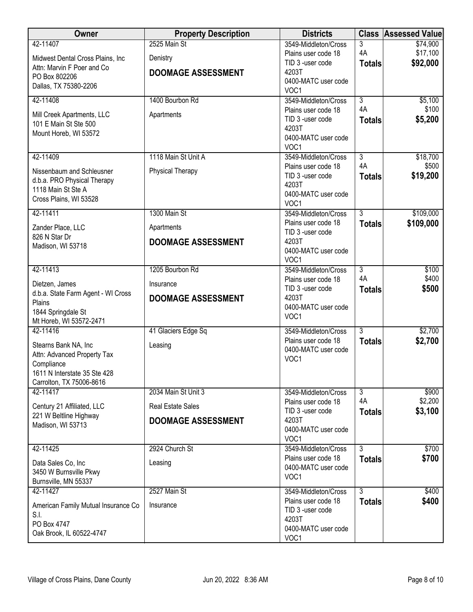| Owner                                                    | <b>Property Description</b> | <b>Districts</b>                            | <b>Class</b>         | <b>Assessed Value</b> |
|----------------------------------------------------------|-----------------------------|---------------------------------------------|----------------------|-----------------------|
| 42-11407                                                 | 2525 Main St                | 3549-Middleton/Cross                        | 3                    | \$74,900              |
| Midwest Dental Cross Plains, Inc                         | Denistry                    | Plains user code 18                         | 4A                   | \$17,100              |
| Attn: Marvin F Poer and Co                               |                             | TID 3 -user code                            | <b>Totals</b>        | \$92,000              |
| PO Box 802206                                            | <b>DOOMAGE ASSESSMENT</b>   | 4203T<br>0400-MATC user code                |                      |                       |
| Dallas, TX 75380-2206                                    |                             | VOC1                                        |                      |                       |
| 42-11408                                                 | 1400 Bourbon Rd             | 3549-Middleton/Cross                        | $\overline{3}$       | \$5,100               |
|                                                          |                             | Plains user code 18                         | 4A                   | \$100                 |
| Mill Creek Apartments, LLC<br>101 E Main St Ste 500      | Apartments                  | TID 3 -user code                            | <b>Totals</b>        | \$5,200               |
| Mount Horeb, WI 53572                                    |                             | 4203T                                       |                      |                       |
|                                                          |                             | 0400-MATC user code                         |                      |                       |
|                                                          |                             | VOC1                                        |                      |                       |
| 42-11409                                                 | 1118 Main St Unit A         | 3549-Middleton/Cross<br>Plains user code 18 | $\overline{3}$<br>4A | \$18,700<br>\$500     |
| Nissenbaum and Schleusner                                | Physical Therapy            | TID 3 -user code                            | <b>Totals</b>        | \$19,200              |
| d.b.a. PRO Physical Therapy                              |                             | 4203T                                       |                      |                       |
| 1118 Main St Ste A                                       |                             | 0400-MATC user code                         |                      |                       |
| Cross Plains, WI 53528                                   |                             | VOC1                                        |                      |                       |
| 42-11411                                                 | 1300 Main St                | 3549-Middleton/Cross                        | $\overline{3}$       | \$109,000             |
| Zander Place, LLC                                        | Apartments                  | Plains user code 18                         | <b>Totals</b>        | \$109,000             |
| 826 N Star Dr                                            |                             | TID 3 -user code<br>4203T                   |                      |                       |
| Madison, WI 53718                                        | <b>DOOMAGE ASSESSMENT</b>   | 0400-MATC user code                         |                      |                       |
|                                                          |                             | VOC1                                        |                      |                       |
| 42-11413                                                 | 1205 Bourbon Rd             | 3549-Middleton/Cross                        | $\overline{3}$       | \$100                 |
| Dietzen, James                                           | Insurance                   | Plains user code 18                         | 4A                   | \$400                 |
| d.b.a. State Farm Agent - WI Cross                       |                             | TID 3 -user code<br>4203T                   | <b>Totals</b>        | \$500                 |
| Plains                                                   | <b>DOOMAGE ASSESSMENT</b>   | 0400-MATC user code                         |                      |                       |
| 1844 Springdale St                                       |                             | VOC1                                        |                      |                       |
| Mt Horeb, WI 53572-2471                                  |                             |                                             |                      |                       |
| 42-11416                                                 | 41 Glaciers Edge Sq         | 3549-Middleton/Cross<br>Plains user code 18 | 3                    | \$2,700               |
| Stearns Bank NA, Inc                                     | Leasing                     | 0400-MATC user code                         | <b>Totals</b>        | \$2,700               |
| Attn: Advanced Property Tax                              |                             | VOC1                                        |                      |                       |
| Compliance                                               |                             |                                             |                      |                       |
| 1611 N Interstate 35 Ste 428<br>Carrolton, TX 75006-8616 |                             |                                             |                      |                       |
| 42-11417                                                 | 2034 Main St Unit 3         | 3549-Middleton/Cross                        | $\overline{3}$       | \$900                 |
| Century 21 Affiliated, LLC                               | <b>Real Estate Sales</b>    | Plains user code 18                         | 4A                   | \$2,200               |
| 221 W Beltline Highway                                   | <b>DOOMAGE ASSESSMENT</b>   | TID 3 -user code<br>4203T                   | <b>Totals</b>        | \$3,100               |
| Madison, WI 53713                                        |                             | 0400-MATC user code                         |                      |                       |
|                                                          |                             | VOC1                                        |                      |                       |
| 42-11425                                                 | 2924 Church St              | 3549-Middleton/Cross                        | $\overline{3}$       | \$700                 |
| Data Sales Co, Inc                                       | Leasing                     | Plains user code 18                         | <b>Totals</b>        | \$700                 |
| 3450 W Burnsville Pkwy                                   |                             | 0400-MATC user code                         |                      |                       |
| Burnsville, MN 55337                                     |                             | VOC1                                        |                      |                       |
| 42-11427                                                 | 2527 Main St                | 3549-Middleton/Cross                        | $\overline{3}$       | \$400                 |
| American Family Mutual Insurance Co                      | Insurance                   | Plains user code 18                         | <b>Totals</b>        | \$400                 |
| S.I.                                                     |                             | TID 3 -user code                            |                      |                       |
| PO Box 4747                                              |                             | 4203T<br>0400-MATC user code                |                      |                       |
| Oak Brook, IL 60522-4747                                 |                             | VOC1                                        |                      |                       |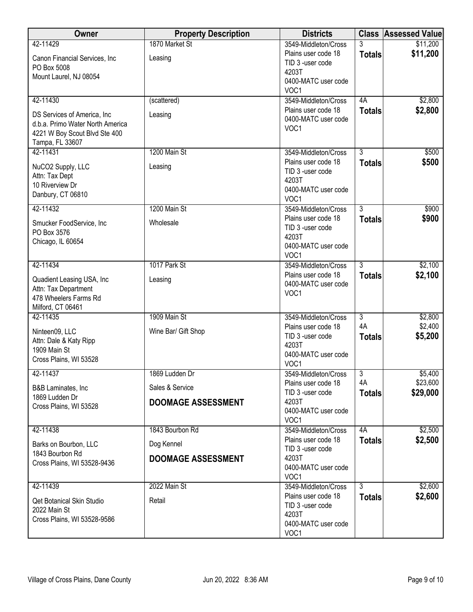| Owner                                         | <b>Property Description</b> | <b>Districts</b>                           |                      | <b>Class Assessed Value</b> |
|-----------------------------------------------|-----------------------------|--------------------------------------------|----------------------|-----------------------------|
| 42-11429                                      | 1870 Market St              | 3549-Middleton/Cross                       | 3                    | \$11,200                    |
| Canon Financial Services, Inc                 | Leasing                     | Plains user code 18<br>TID 3 -user code    | <b>Totals</b>        | \$11,200                    |
| PO Box 5008<br>Mount Laurel, NJ 08054         |                             | 4203T                                      |                      |                             |
|                                               |                             | 0400-MATC user code<br>VOC1                |                      |                             |
| 42-11430                                      | (scattered)                 | 3549-Middleton/Cross                       | 4A                   | \$2,800                     |
| DS Services of America, Inc.                  | Leasing                     | Plains user code 18                        | <b>Totals</b>        | \$2,800                     |
| d.b.a. Primo Water North America              |                             | 0400-MATC user code<br>VOC1                |                      |                             |
| 4221 W Boy Scout Blvd Ste 400                 |                             |                                            |                      |                             |
| Tampa, FL 33607<br>42-11431                   | 1200 Main St                | 3549-Middleton/Cross                       | $\overline{3}$       | \$500                       |
|                                               |                             | Plains user code 18                        | <b>Totals</b>        | \$500                       |
| NuCO2 Supply, LLC<br>Attn: Tax Dept           | Leasing                     | TID 3 -user code                           |                      |                             |
| 10 Riverview Dr                               |                             | 4203T<br>0400-MATC user code               |                      |                             |
| Danbury, CT 06810                             |                             | VOC <sub>1</sub>                           |                      |                             |
| 42-11432                                      | 1200 Main St                | 3549-Middleton/Cross                       | 3                    | \$900                       |
| Smucker FoodService, Inc                      | Wholesale                   | Plains user code 18                        | <b>Totals</b>        | \$900                       |
| PO Box 3576                                   |                             | TID 3 -user code<br>4203T                  |                      |                             |
| Chicago, IL 60654                             |                             | 0400-MATC user code                        |                      |                             |
|                                               |                             | VOC1                                       |                      |                             |
| 42-11434                                      | 1017 Park St                | 3549-Middleton/Cross                       | $\overline{3}$       | \$2,100                     |
| Quadient Leasing USA, Inc                     | Leasing                     | Plains user code 18<br>0400-MATC user code | <b>Totals</b>        | \$2,100                     |
| Attn: Tax Department<br>478 Wheelers Farms Rd |                             | VOC1                                       |                      |                             |
| Milford, CT 06461                             |                             |                                            |                      |                             |
| 42-11435                                      | 1909 Main St                | 3549-Middleton/Cross                       | $\overline{3}$       | \$2,800                     |
| Ninteen09, LLC                                | Wine Bar/ Gift Shop         | Plains user code 18                        | 4A                   | \$2,400                     |
| Attn: Dale & Katy Ripp                        |                             | TID 3 -user code<br>4203T                  | <b>Totals</b>        | \$5,200                     |
| 1909 Main St                                  |                             | 0400-MATC user code                        |                      |                             |
| Cross Plains, WI 53528                        |                             | VOC1                                       |                      |                             |
| 42-11437                                      | 1869 Ludden Dr              | 3549-Middleton/Cross                       | $\overline{3}$<br>4A | \$5,400<br>\$23,600         |
| B&B Laminates, Inc                            | Sales & Service             | Plains user code 18<br>TID 3 -user code    | <b>Totals</b>        | \$29,000                    |
| 1869 Ludden Dr<br>Cross Plains, WI 53528      | <b>DOOMAGE ASSESSMENT</b>   | 4203T                                      |                      |                             |
|                                               |                             | 0400-MATC user code                        |                      |                             |
| 42-11438                                      | 1843 Bourbon Rd             | VOC1<br>3549-Middleton/Cross               | 4A                   | \$2,500                     |
| Barks on Bourbon, LLC                         | Dog Kennel                  | Plains user code 18                        | <b>Totals</b>        | \$2,500                     |
| 1843 Bourbon Rd                               |                             | TID 3 -user code                           |                      |                             |
| Cross Plains, WI 53528-9436                   | <b>DOOMAGE ASSESSMENT</b>   | 4203T<br>0400-MATC user code               |                      |                             |
|                                               |                             | VOC1                                       |                      |                             |
| 42-11439                                      | 2022 Main St                | 3549-Middleton/Cross                       | $\overline{3}$       | \$2,600                     |
| Qet Botanical Skin Studio                     | Retail                      | Plains user code 18                        | <b>Totals</b>        | \$2,600                     |
| 2022 Main St                                  |                             | TID 3 -user code<br>4203T                  |                      |                             |
| Cross Plains, WI 53528-9586                   |                             | 0400-MATC user code                        |                      |                             |
|                                               |                             | VOC1                                       |                      |                             |